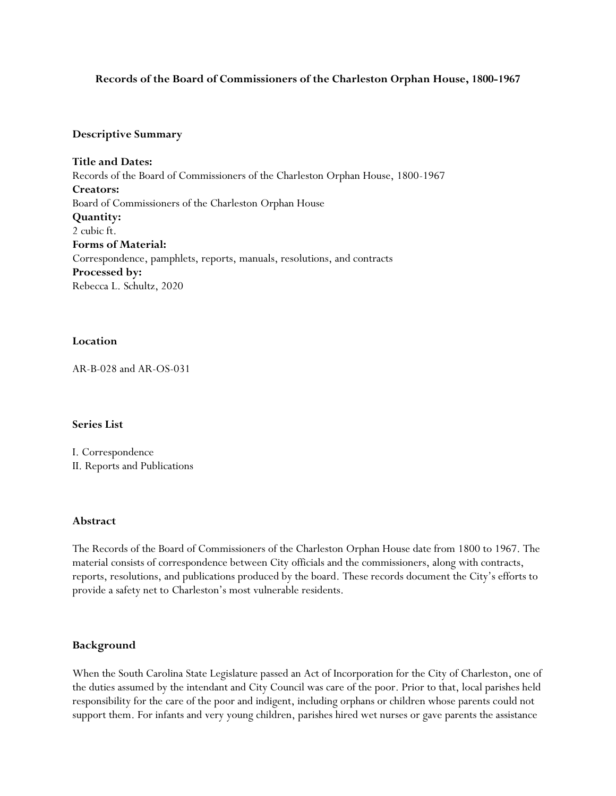## **Records of the Board of Commissioners of the Charleston Orphan House, 1800-1967**

### **Descriptive Summary**

**Title and Dates:** Records of the Board of Commissioners of the Charleston Orphan House, 1800-1967 **Creators:**  Board of Commissioners of the Charleston Orphan House **Quantity:** 2 cubic ft. **Forms of Material:** Correspondence, pamphlets, reports, manuals, resolutions, and contracts **Processed by:**  Rebecca L. Schultz, 2020

## **Location**

AR-B-028 and AR-OS-031

### **Series List**

I. Correspondence II. Reports and Publications

### **Abstract**

The Records of the Board of Commissioners of the Charleston Orphan House date from 1800 to 1967. The material consists of correspondence between City officials and the commissioners, along with contracts, reports, resolutions, and publications produced by the board. These records document the City's efforts to provide a safety net to Charleston's most vulnerable residents.

### **Background**

When the South Carolina State Legislature passed an Act of Incorporation for the City of Charleston, one of the duties assumed by the intendant and City Council was care of the poor. Prior to that, local parishes held responsibility for the care of the poor and indigent, including orphans or children whose parents could not support them. For infants and very young children, parishes hired wet nurses or gave parents the assistance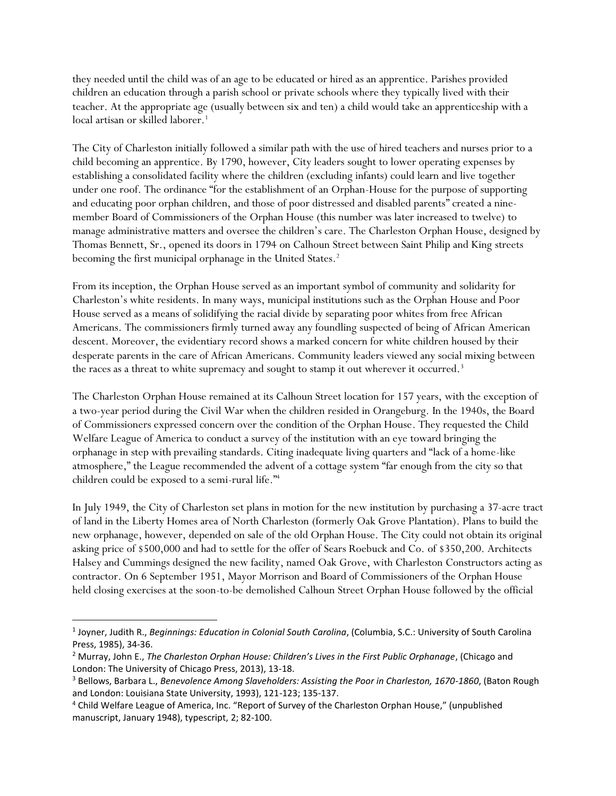they needed until the child was of an age to be educated or hired as an apprentice. Parishes provided children an education through a parish school or private schools where they typically lived with their teacher. At the appropriate age (usually between six and ten) a child would take an apprenticeship with a local artisan or skilled laborer.<sup>1</sup>

The City of Charleston initially followed a similar path with the use of hired teachers and nurses prior to a child becoming an apprentice. By 1790, however, City leaders sought to lower operating expenses by establishing a consolidated facility where the children (excluding infants) could learn and live together under one roof. The ordinance "for the establishment of an Orphan-House for the purpose of supporting and educating poor orphan children, and those of poor distressed and disabled parents" created a ninemember Board of Commissioners of the Orphan House (this number was later increased to twelve) to manage administrative matters and oversee the children's care. The Charleston Orphan House, designed by Thomas Bennett, Sr., opened its doors in 1794 on Calhoun Street between Saint Philip and King streets becoming the first municipal orphanage in the United States.<sup>2</sup>

From its inception, the Orphan House served as an important symbol of community and solidarity for Charleston's white residents. In many ways, municipal institutions such as the Orphan House and Poor House served as a means of solidifying the racial divide by separating poor whites from free African Americans. The commissioners firmly turned away any foundling suspected of being of African American descent. Moreover, the evidentiary record shows a marked concern for white children housed by their desperate parents in the care of African Americans. Community leaders viewed any social mixing between the races as a threat to white supremacy and sought to stamp it out wherever it occurred.<sup>3</sup>

The Charleston Orphan House remained at its Calhoun Street location for 157 years, with the exception of a two-year period during the Civil War when the children resided in Orangeburg. In the 1940s, the Board of Commissioners expressed concern over the condition of the Orphan House. They requested the Child Welfare League of America to conduct a survey of the institution with an eye toward bringing the orphanage in step with prevailing standards. Citing inadequate living quarters and "lack of a home-like atmosphere," the League recommended the advent of a cottage system "far enough from the city so that children could be exposed to a semi-rural life."<sup>4</sup>

In July 1949, the City of Charleston set plans in motion for the new institution by purchasing a 37-acre tract of land in the Liberty Homes area of North Charleston (formerly Oak Grove Plantation). Plans to build the new orphanage, however, depended on sale of the old Orphan House. The City could not obtain its original asking price of \$500,000 and had to settle for the offer of Sears Roebuck and Co. of \$350,200. Architects Halsey and Cummings designed the new facility, named Oak Grove, with Charleston Constructors acting as contractor. On 6 September 1951, Mayor Morrison and Board of Commissioners of the Orphan House held closing exercises at the soon-to-be demolished Calhoun Street Orphan House followed by the official

 $\overline{a}$ 

<sup>1</sup> Joyner, Judith R., *Beginnings: Education in Colonial South Carolina*, (Columbia, S.C.: University of South Carolina Press, 1985), 34-36.

<sup>2</sup> Murray, John E., *The Charleston Orphan House: Children's Lives in the First Public Orphanage*, (Chicago and London: The University of Chicago Press, 2013), 13-18.

<sup>3</sup> Bellows, Barbara L., *Benevolence Among Slaveholders: Assisting the Poor in Charleston, 1670-1860*, (Baton Rough and London: Louisiana State University, 1993), 121-123; 135-137.

<sup>4</sup> Child Welfare League of America, Inc. "Report of Survey of the Charleston Orphan House," (unpublished manuscript, January 1948), typescript, 2; 82-100.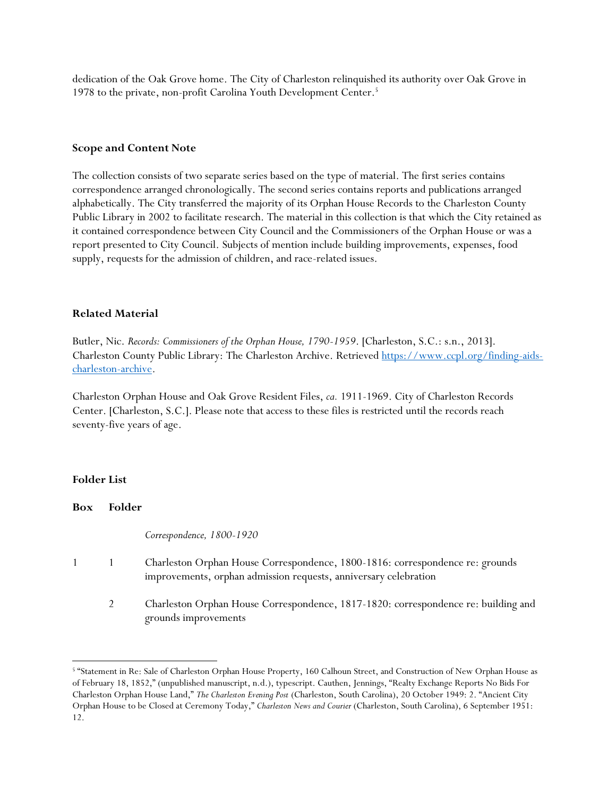dedication of the Oak Grove home. The City of Charleston relinquished its authority over Oak Grove in 1978 to the private, non-profit Carolina Youth Development Center.<sup>5</sup>

## **Scope and Content Note**

The collection consists of two separate series based on the type of material. The first series contains correspondence arranged chronologically. The second series contains reports and publications arranged alphabetically. The City transferred the majority of its Orphan House Records to the Charleston County Public Library in 2002 to facilitate research. The material in this collection is that which the City retained as it contained correspondence between City Council and the Commissioners of the Orphan House or was a report presented to City Council. Subjects of mention include building improvements, expenses, food supply, requests for the admission of children, and race-related issues.

## **Related Material**

Butler, Nic. *Records: Commissioners of the Orphan House, 1790-1959*. [Charleston, S.C.: s.n., 2013]. Charleston County Public Library: The Charleston Archive. Retrieved [https://www.ccpl.org/finding-aids](https://www.ccpl.org/finding-aids-charleston-archive)[charleston-archive.](https://www.ccpl.org/finding-aids-charleston-archive)

Charleston Orphan House and Oak Grove Resident Files, *ca.* 1911-1969. City of Charleston Records Center. [Charleston, S.C.]. Please note that access to these files is restricted until the records reach seventy-five years of age.

### **Folder List**

 $\overline{a}$ 

**Box Folder** *Correspondence, 1800-1920* 1 1 Charleston Orphan House Correspondence, 1800-1816: correspondence re: grounds improvements, orphan admission requests, anniversary celebration 2 Charleston Orphan House Correspondence, 1817-1820: correspondence re: building and grounds improvements

<sup>5</sup> "Statement in Re: Sale of Charleston Orphan House Property, 160 Calhoun Street, and Construction of New Orphan House as of February 18, 1852," (unpublished manuscript, n.d.), typescript. Cauthen, Jennings, "Realty Exchange Reports No Bids For Charleston Orphan House Land," *The Charleston Evening Post* (Charleston, South Carolina), 20 October 1949: 2. "Ancient City Orphan House to be Closed at Ceremony Today," *Charleston News and Courier* (Charleston, South Carolina), 6 September 1951: 12.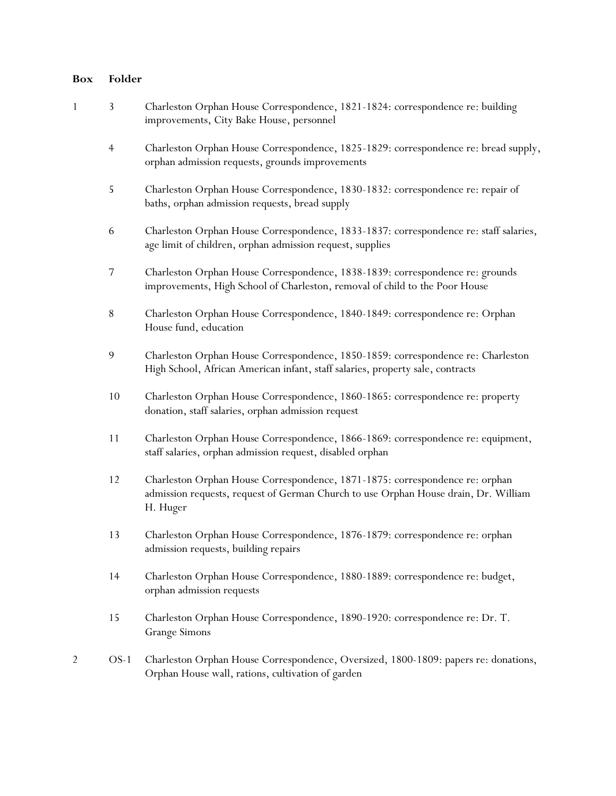# **Box Folder**

| $\mathbf{1}$   | 3              | Charleston Orphan House Correspondence, 1821-1824: correspondence re: building<br>improvements, City Bake House, personnel                                                      |
|----------------|----------------|---------------------------------------------------------------------------------------------------------------------------------------------------------------------------------|
|                | $\overline{4}$ | Charleston Orphan House Correspondence, 1825-1829: correspondence re: bread supply,<br>orphan admission requests, grounds improvements                                          |
|                | 5              | Charleston Orphan House Correspondence, 1830-1832: correspondence re: repair of<br>baths, orphan admission requests, bread supply                                               |
|                | 6              | Charleston Orphan House Correspondence, 1833-1837: correspondence re: staff salaries,<br>age limit of children, orphan admission request, supplies                              |
|                | 7              | Charleston Orphan House Correspondence, 1838-1839: correspondence re: grounds<br>improvements, High School of Charleston, removal of child to the Poor House                    |
|                | $\,$ $\,$      | Charleston Orphan House Correspondence, 1840-1849: correspondence re: Orphan<br>House fund, education                                                                           |
|                | 9              | Charleston Orphan House Correspondence, 1850-1859: correspondence re: Charleston<br>High School, African American infant, staff salaries, property sale, contracts              |
|                | 10             | Charleston Orphan House Correspondence, 1860-1865: correspondence re: property<br>donation, staff salaries, orphan admission request                                            |
|                | $11$           | Charleston Orphan House Correspondence, 1866-1869: correspondence re: equipment,<br>staff salaries, orphan admission request, disabled orphan                                   |
|                | 12             | Charleston Orphan House Correspondence, 1871-1875: correspondence re: orphan<br>admission requests, request of German Church to use Orphan House drain, Dr. William<br>H. Huger |
|                | 13             | Charleston Orphan House Correspondence, 1876-1879: correspondence re: orphan<br>admission requests, building repairs                                                            |
|                | 14             | Charleston Orphan House Correspondence, 1880-1889: correspondence re: budget,<br>orphan admission requests                                                                      |
|                | 15             | Charleston Orphan House Correspondence, 1890-1920: correspondence re: Dr. T.<br><b>Grange Simons</b>                                                                            |
| $\overline{2}$ | $OS-1$         | Charleston Orphan House Correspondence, Oversized, 1800-1809: papers re: donations,<br>Orphan House wall, rations, cultivation of garden                                        |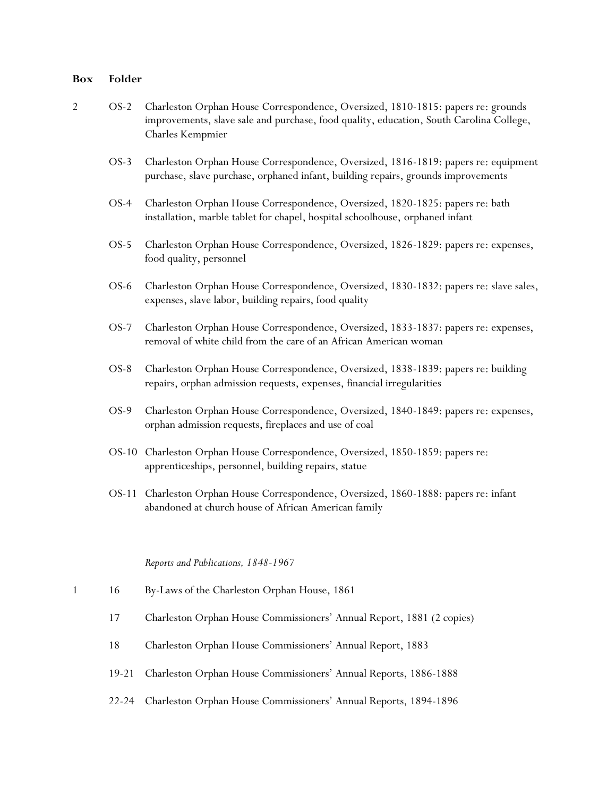# **Box Folder**

| $\overline{c}$ | $OS-2$    | Charleston Orphan House Correspondence, Oversized, 1810-1815: papers re: grounds<br>improvements, slave sale and purchase, food quality, education, South Carolina College,<br><b>Charles Kempmier</b> |
|----------------|-----------|--------------------------------------------------------------------------------------------------------------------------------------------------------------------------------------------------------|
|                | $OS-3$    | Charleston Orphan House Correspondence, Oversized, 1816-1819: papers re: equipment<br>purchase, slave purchase, orphaned infant, building repairs, grounds improvements                                |
|                | $OS-4$    | Charleston Orphan House Correspondence, Oversized, 1820-1825: papers re: bath<br>installation, marble tablet for chapel, hospital schoolhouse, orphaned infant                                         |
|                | $OS-5$    | Charleston Orphan House Correspondence, Oversized, 1826-1829: papers re: expenses,<br>food quality, personnel                                                                                          |
|                | OS-6      | Charleston Orphan House Correspondence, Oversized, 1830-1832: papers re: slave sales,<br>expenses, slave labor, building repairs, food quality                                                         |
|                | $OS-7$    | Charleston Orphan House Correspondence, Oversized, 1833-1837: papers re: expenses,<br>removal of white child from the care of an African American woman                                                |
|                | $OS-8$    | Charleston Orphan House Correspondence, Oversized, 1838-1839: papers re: building<br>repairs, orphan admission requests, expenses, financial irregularities                                            |
|                | OS-9      | Charleston Orphan House Correspondence, Oversized, 1840-1849: papers re: expenses,<br>orphan admission requests, fireplaces and use of coal                                                            |
|                |           | OS-10 Charleston Orphan House Correspondence, Oversized, 1850-1859: papers re:<br>apprenticeships, personnel, building repairs, statue                                                                 |
|                | OS-11     | Charleston Orphan House Correspondence, Oversized, 1860-1888: papers re: infant<br>abandoned at church house of African American family                                                                |
|                |           | Reports and Publications, 1848-1967                                                                                                                                                                    |
| $\mathbf{1}$   | 16        | By-Laws of the Charleston Orphan House, 1861                                                                                                                                                           |
|                | 17        | Charleston Orphan House Commissioners' Annual Report, 1881 (2 copies)                                                                                                                                  |
|                | 18        | Charleston Orphan House Commissioners' Annual Report, 1883                                                                                                                                             |
|                | $19 - 21$ | Charleston Orphan House Commissioners' Annual Reports, 1886-1888                                                                                                                                       |

22-24 Charleston Orphan House Commissioners' Annual Reports, 1894-1896